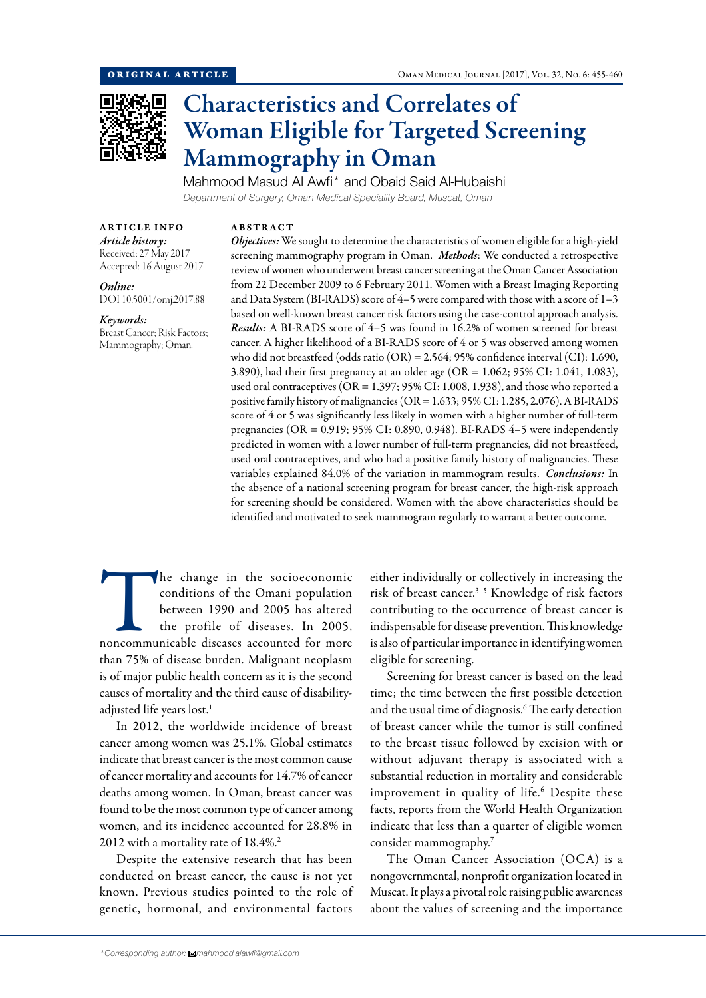

# Characteristics and Correlates of Woman Eligible for Targeted Screening Mammography in Oman

Mahmood Masud Al Awfi\* and Obaid Said Al-Hubaishi *Department of Surgery, Oman Medical Speciality Board, Muscat, Oman*

ARTICLE INFO *Article history:* Received: 27 May 2017 Accepted: 16 August 2017

*Online:* DOI 10.5001/omj.2017.88

*Keywords:*  Breast Cancer; Risk Factors; Mammography; Oman.

# ABSTRACT

*Objectives:* We sought to determine the characteristics of women eligible for a high-yield screening mammography program in Oman. *Methods*: We conducted a retrospective review of women who underwent breast cancer screening at the Oman Cancer Association from 22 December 2009 to 6 February 2011. Women with a Breast Imaging Reporting and Data System (BI-RADS) score of 4–5 were compared with those with a score of 1–3 based on well-known breast cancer risk factors using the case-control approach analysis. *Results:* A BI-RADS score of 4–5 was found in 16.2% of women screened for breast cancer. A higher likelihood of a BI-RADS score of 4 or 5 was observed among women who did not breastfeed (odds ratio (OR) = 2.564; 95% confidence interval (CI): 1.690, 3.890), had their first pregnancy at an older age (OR = 1.062; 95% CI: 1.041, 1.083), used oral contraceptives (OR = 1.397; 95% CI: 1.008, 1.938), and those who reported a positive family history of malignancies (OR = 1.633; 95% CI: 1.285, 2.076). A BI-RADS score of 4 or 5 was significantly less likely in women with a higher number of full-term pregnancies (OR = 0.919; 95% CI: 0.890, 0.948). BI-RADS 4–5 were independently predicted in women with a lower number of full-term pregnancies, did not breastfeed, used oral contraceptives, and who had a positive family history of malignancies. These variables explained 84.0% of the variation in mammogram results. *Conclusions:* In the absence of a national screening program for breast cancer, the high-risk approach for screening should be considered. Women with the above characteristics should be identified and motivated to seek mammogram regularly to warrant a better outcome.

The change in the socioeconomic<br>
conditions of the Omani population<br>
between 1990 and 2005 has altered<br>
the profile of diseases. In 2005,<br>
noncommunicable diseases accounted for more conditions of the Omani population between 1990 and 2005 has altered the profile of diseases. In 2005, than 75% of disease burden. Malignant neoplasm is of major public health concern as it is the second causes of mortality and the third cause of disabilityadjusted life years lost.<sup>1</sup>

In 2012, the worldwide incidence of breast cancer among women was 25.1%. Global estimates indicate that breast cancer is the most common cause of cancer mortality and accounts for 14.7% of cancer deaths among women. In Oman, breast cancer was found to be the most common type of cancer among women, and its incidence accounted for 28.8% in 2012 with a mortality rate of 18.4%.<sup>2</sup>

Despite the extensive research that has been conducted on breast cancer, the cause is not yet known. Previous studies pointed to the role of genetic, hormonal, and environmental factors either individually or collectively in increasing the risk of breast cancer.<sup>3-5</sup> Knowledge of risk factors contributing to the occurrence of breast cancer is indispensable for disease prevention. This knowledge is also of particular importance in identifying women eligible for screening.

Screening for breast cancer is based on the lead time; the time between the first possible detection and the usual time of diagnosis.<sup>6</sup> The early detection of breast cancer while the tumor is still confined to the breast tissue followed by excision with or without adjuvant therapy is associated with a substantial reduction in mortality and considerable improvement in quality of life.<sup>6</sup> Despite these facts, reports from the World Health Organization indicate that less than a quarter of eligible women consider mammography.7

The Oman Cancer Association (OCA) is a nongovernmental, nonprofit organization located in Muscat. It plays a pivotal role raising public awareness about the values of screening and the importance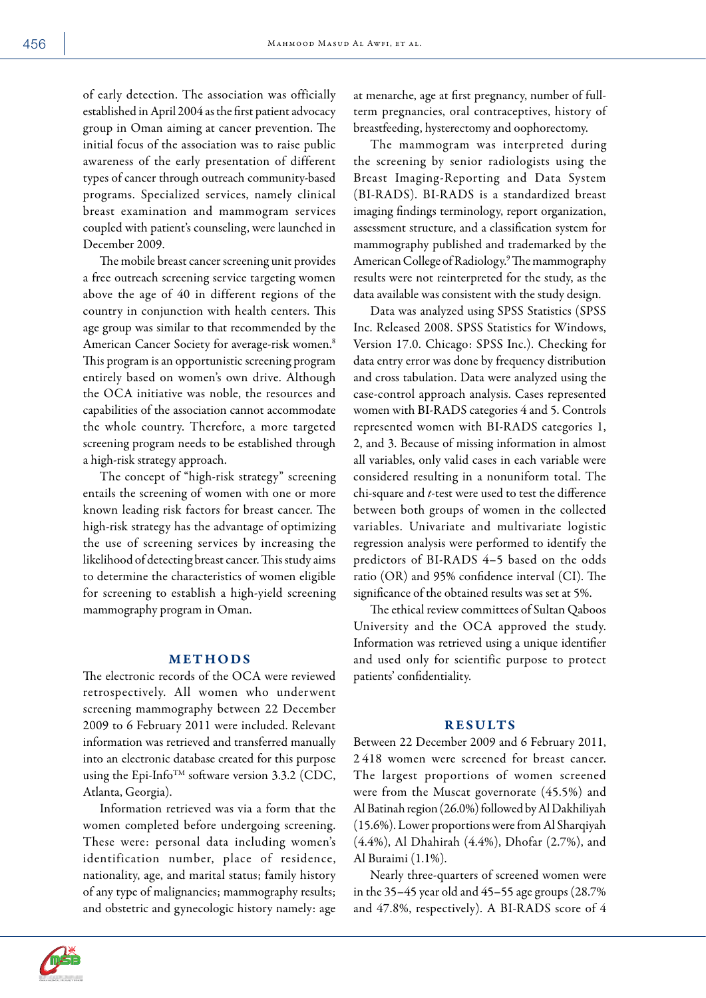of early detection. The association was officially established in April 2004 as the first patient advocacy group in Oman aiming at cancer prevention. The initial focus of the association was to raise public awareness of the early presentation of different types of cancer through outreach community-based programs. Specialized services, namely clinical breast examination and mammogram services coupled with patient's counseling, were launched in December 2009.

The mobile breast cancer screening unit provides a free outreach screening service targeting women above the age of 40 in different regions of the country in conjunction with health centers. This age group was similar to that recommended by the American Cancer Society for average-risk women.8 This program is an opportunistic screening program entirely based on women's own drive. Although the OCA initiative was noble, the resources and capabilities of the association cannot accommodate the whole country. Therefore, a more targeted screening program needs to be established through a high-risk strategy approach.

The concept of "high-risk strategy" screening entails the screening of women with one or more known leading risk factors for breast cancer. The high-risk strategy has the advantage of optimizing the use of screening services by increasing the likelihood of detecting breast cancer. This study aims to determine the characteristics of women eligible for screening to establish a high-yield screening mammography program in Oman.

## **METHODS**

The electronic records of the OCA were reviewed retrospectively. All women who underwent screening mammography between 22 December 2009 to 6 February 2011 were included. Relevant information was retrieved and transferred manually into an electronic database created for this purpose using the Epi-Info<sup>TM</sup> software version 3.3.2 (CDC, Atlanta, Georgia).

Information retrieved was via a form that the women completed before undergoing screening. These were: personal data including women's identification number, place of residence, nationality, age, and marital status; family history of any type of malignancies; mammography results; and obstetric and gynecologic history namely: age



The mammogram was interpreted during the screening by senior radiologists using the Breast Imaging-Reporting and Data System (BI-RADS). BI-RADS is a standardized breast imaging findings terminology, report organization, assessment structure, and a classification system for mammography published and trademarked by the American College of Radiology.9 The mammography results were not reinterpreted for the study, as the data available was consistent with the study design.

Data was analyzed using SPSS Statistics (SPSS Inc. Released 2008. SPSS Statistics for Windows, Version 17.0. Chicago: SPSS Inc.). Checking for data entry error was done by frequency distribution and cross tabulation. Data were analyzed using the case-control approach analysis. Cases represented women with BI-RADS categories 4 and 5. Controls represented women with BI-RADS categories 1, 2, and 3. Because of missing information in almost all variables, only valid cases in each variable were considered resulting in a nonuniform total. The chi-square and *t*-test were used to test the difference between both groups of women in the collected variables. Univariate and multivariate logistic regression analysis were performed to identify the predictors of BI-RADS 4–5 based on the odds ratio (OR) and 95% confidence interval (CI). The significance of the obtained results was set at 5%.

The ethical review committees of Sultan Qaboos University and the OCA approved the study. Information was retrieved using a unique identifier and used only for scientific purpose to protect patients' confidentiality.

## RESULTS

Between 22 December 2009 and 6 February 2011, 2 418 women were screened for breast cancer. The largest proportions of women screened were from the Muscat governorate (45.5%) and Al Batinah region (26.0%) followed by Al Dakhiliyah (15.6%). Lower proportions were from Al Sharqiyah (4.4%), Al Dhahirah (4.4%), Dhofar (2.7%), and Al Buraimi (1.1%).

Nearly three-quarters of screened women were in the 35–45 year old and 45–55 age groups (28.7% and 47.8%, respectively). A BI-RADS score of 4

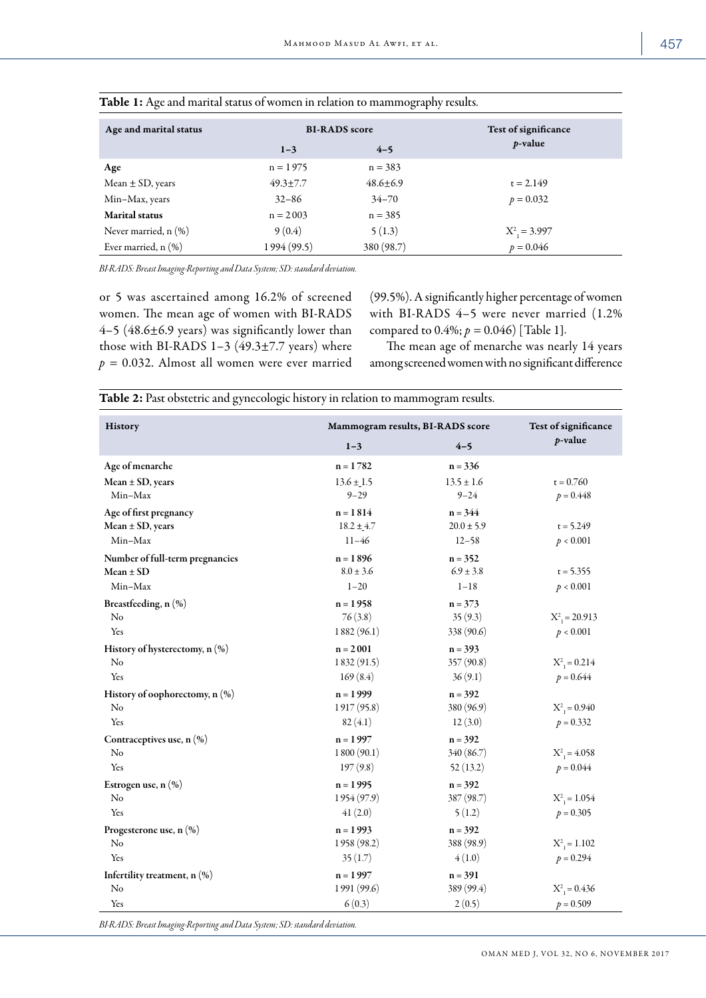| Age and marital status    | <b>BI-RADS</b> score<br>$4 - 5$<br>$1 - 3$ |                | Test of significance<br><i>p</i> -value |
|---------------------------|--------------------------------------------|----------------|-----------------------------------------|
|                           | $n = 1975$                                 | $n = 383$      |                                         |
| Age                       |                                            |                |                                         |
| Mean $\pm$ SD, years      | $49.3 \pm 7.7$                             | $48.6 \pm 6.9$ | $t = 2.149$                             |
| Min-Max, years            | $32 - 86$                                  | $34 - 70$      | $p = 0.032$                             |
| <b>Marital</b> status     | $n = 2003$                                 | $n = 385$      |                                         |
| Never married, $n$ $(\%)$ | 9(0.4)                                     | 5(1.3)         | $X^2 = 3.997$                           |
| Ever married, $n$ $(\%)$  | 1994 (99.5)                                | 380 (98.7)     | $p = 0.046$                             |

|  | Table 1: Age and marital status of women in relation to mammography results. |
|--|------------------------------------------------------------------------------|
|--|------------------------------------------------------------------------------|

*BI-RADS: Breast Imaging-Reporting and Data System; SD: standard deviation.*

or 5 was ascertained among 16.2% of screened women. The mean age of women with BI-RADS 4–5 (48.6±6.9 years) was significantly lower than those with BI-RADS  $1-3$  (49.3±7.7 years) where *p =* 0.032. Almost all women were ever married (99.5%). A significantly higher percentage of women with BI-RADS 4–5 were never married (1.2% compared to  $0.4\%$ ;  $p = 0.046$  [Table 1].

The mean age of menarche was nearly 14 years among screened women with no significant difference

| History                           | Mammogram results, BI-RADS score | Test of significance |                            |  |
|-----------------------------------|----------------------------------|----------------------|----------------------------|--|
|                                   | $1 - 3$                          | $4 - 5$              | $p$ -value                 |  |
| Age of menarche                   | $n = 1782$                       | $n = 336$            |                            |  |
| $Mean \pm SD$ , years             | $13.6 \pm 1.5$                   | $13.5 \pm 1.6$       | $t = 0.760$                |  |
| Min-Max                           | $9 - 29$                         | $9 - 24$             | $p = 0.448$                |  |
| Age of first pregnancy            | $n = 1814$                       | $n = 344$            |                            |  |
| $Mean \pm SD$ , years             | $18.2 \pm 4.7$                   | $20.0 \pm 5.9$       | $t = 5.249$                |  |
| Min-Max                           | $11 - 46$                        | $12 - 58$            | p < 0.001                  |  |
| Number of full-term pregnancies   | $n = 1896$                       | $n = 352$            |                            |  |
| $Mean \pm SD$                     | $8.0 \pm 3.6$                    | $6.9 \pm 3.8$        | $t = 5.355$                |  |
| Min-Max                           | $1 - 20$                         | $1 - 18$             | p < 0.001                  |  |
| Breastfeeding, n (%)              | $n = 1958$                       | $n = 373$            |                            |  |
| No                                | 76(3.8)                          | 35(9.3)              | $X^2 = 20.913$             |  |
| Yes                               | 1882(96.1)                       | 338 (90.6)           | p < 0.001                  |  |
| History of hysterectomy, n (%)    | $n = 2001$                       | $n = 393$            |                            |  |
| No                                | 1832(91.5)                       | 357(90.8)            | $X^2$ <sub>1</sub> = 0.214 |  |
| Yes                               | 169(8.4)                         | 36(9.1)              | $p = 0.644$                |  |
| History of oophorectomy, n (%)    | $n = 1999$                       | $n = 392$            |                            |  |
| No                                | 1917(95.8)                       | 380 (96.9)           | $X^2 = 0.940$              |  |
| Yes                               | 82(4.1)                          | 12(3.0)              | $p = 0.332$                |  |
| Contraceptives use, n (%)         | $n = 1997$                       | $n = 392$            |                            |  |
| No                                | 1800(90.1)                       | 340 (86.7)           | $X^2 = 4.058$              |  |
| Yes                               | 197(9.8)                         | 52(13.2)             | $p = 0.044$                |  |
| Estrogen use, n (%)               | $n = 1995$                       | $n = 392$            |                            |  |
| No                                | 1954(97.9)                       | 387(98.7)            | $X^2 = 1.054$              |  |
| Yes                               | 41(2.0)                          | 5(1.2)               | $p = 0.305$                |  |
| Progesterone use, $n$ (%)         | $n = 1993$                       | $n = 392$            |                            |  |
| No                                | 1958 (98.2)                      | 388 (98.9)           | $X^2 = 1.102$              |  |
| Yes                               | 35(1.7)                          | 4(1.0)               | $p = 0.294$                |  |
| Infertility treatment, $n$ $(\%)$ | $n = 1997$                       | $n = 391$            |                            |  |
| No                                | 1991 (99.6)                      | 389 (99.4)           | $X^2 = 0.436$              |  |
| Yes                               | 6(0.3)                           | 2(0.5)               | $p = 0.509$                |  |

Table 2: Past obstetric and gynecologic history in relation to mammogram results.

*BI-RADS: Breast Imaging-Reporting and Data System; SD: standard deviation.*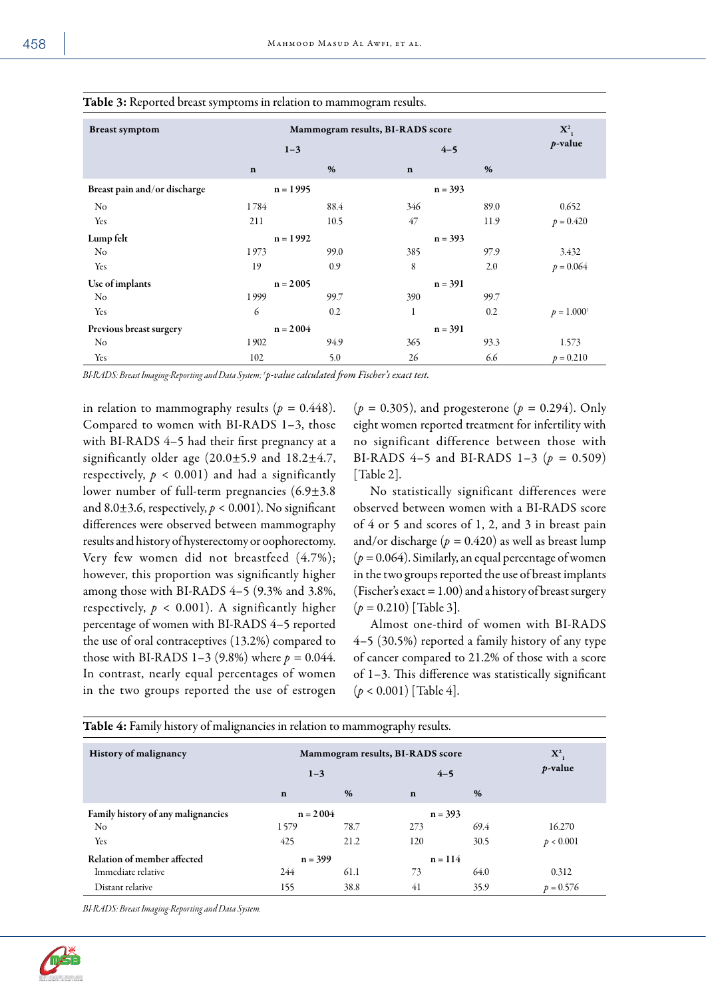| ×.<br>e e<br>٦<br>u,<br>×<br>۰.<br>۰. |
|---------------------------------------|
|---------------------------------------|

| <b>Breast symptom</b>        | Mammogram results, BI-RADS score |      |             | $\mathbf{X}^2$ |                       |
|------------------------------|----------------------------------|------|-------------|----------------|-----------------------|
|                              | $1 - 3$                          |      |             | $4 - 5$        |                       |
|                              | $\mathbf n$                      | %    | $\mathbf n$ | %              |                       |
| Breast pain and/or discharge | $n = 1995$                       |      |             | $n = 393$      |                       |
| No                           | 1784                             | 88.4 | 346         | 89.0           | 0.652                 |
| Yes                          | 211                              | 10.5 | 47          | 11.9           | $p = 0.420$           |
| Lump felt                    | $n = 1992$                       |      | $n = 393$   |                |                       |
| No                           | 1973                             | 99.0 | 385         | 97.9           | 3.432                 |
| Yes                          | 19                               | 0.9  | 8           | 2.0            | $p = 0.064$           |
| Use of implants              | $n = 2005$                       |      | $n = 391$   |                |                       |
| No                           | 1999                             | 99.7 | 390         | 99.7           |                       |
| Yes                          | 6                                | 0.2  | 1           | 0.2            | $p = 1.000^{\dagger}$ |
| Previous breast surgery      | $n = 2004$                       |      | $n = 391$   |                |                       |
| No                           | 1902                             | 94.9 | 365         | 93.3           | 1.573                 |
| Yes                          | 102                              | 5.0  | 26          | 6.6            | $p = 0.210$           |

### Table 3: Reported breast symptoms in relation to mammogram results.

*BI-RADS: Breast Imaging-Reporting and Data System; † p-value calculated from Fischer's exact test.*

in relation to mammography results  $(p = 0.448)$ . Compared to women with BI-RADS 1–3, those with BI-RADS 4–5 had their first pregnancy at a significantly older age (20.0±5.9 and 18.2±4.7, respectively,  $p < 0.001$ ) and had a significantly lower number of full-term pregnancies (6.9±3.8 and 8.0 $\pm$ 3.6, respectively,  $p < 0.001$ ). No significant differences were observed between mammography results and history of hysterectomy or oophorectomy. Very few women did not breastfeed (4.7%); however, this proportion was significantly higher among those with BI-RADS 4–5 (9.3% and 3.8%, respectively,  $p < 0.001$ ). A significantly higher percentage of women with BI-RADS 4–5 reported the use of oral contraceptives (13.2%) compared to those with BI-RADS 1-3 (9.8%) where  $p = 0.044$ . In contrast, nearly equal percentages of women in the two groups reported the use of estrogen

(*p =* 0.305), and progesterone (*p =* 0.294). Only eight women reported treatment for infertility with no significant difference between those with BI-RADS 4–5 and BI-RADS 1–3 (*p =* 0.509) [Table 2].

No statistically significant differences were observed between women with a BI-RADS score of 4 or 5 and scores of 1, 2, and 3 in breast pain and/or discharge  $(p = 0.420)$  as well as breast lump  $(p = 0.064)$ . Similarly, an equal percentage of women in the two groups reported the use of breast implants (Fischer's exact = 1.00) and a history of breast surgery (*p =* 0.210) [Table 3].

Almost one-third of women with BI-RADS 4–5 (30.5%) reported a family history of any type of cancer compared to 21.2% of those with a score of 1–3. This difference was statistically significant (*p* < 0.001) [Table 4].

| <b>History of malignancy</b>       | Mammogram results, BI-RADS score |      |             |      | $\mathbf{X}^2$<br><i>p</i> -value |
|------------------------------------|----------------------------------|------|-------------|------|-----------------------------------|
|                                    | $1 - 3$                          |      | $4 - 5$     |      |                                   |
|                                    | $\mathbf n$                      | %    | $\mathbf n$ | %    |                                   |
| Family history of any malignancies | $n = 2004$                       |      | $n = 393$   |      |                                   |
| N <sub>o</sub>                     | 1579                             | 78.7 | 273         | 69.4 | 16.270                            |
| Yes                                | 425                              | 21.2 | 120         | 30.5 | p < 0.001                         |
| Relation of member affected        | $n = 399$                        |      | $n = 114$   |      |                                   |
| Immediate relative                 | 244                              | 61.1 | 73          | 64.0 | 0.312                             |
| Distant relative                   | 155                              | 38.8 | 41          | 35.9 | $p = 0.576$                       |

Table 4: Family history of malignancies in relation to mammography results.

*BI-RADS: Breast Imaging-Reporting and Data System.*

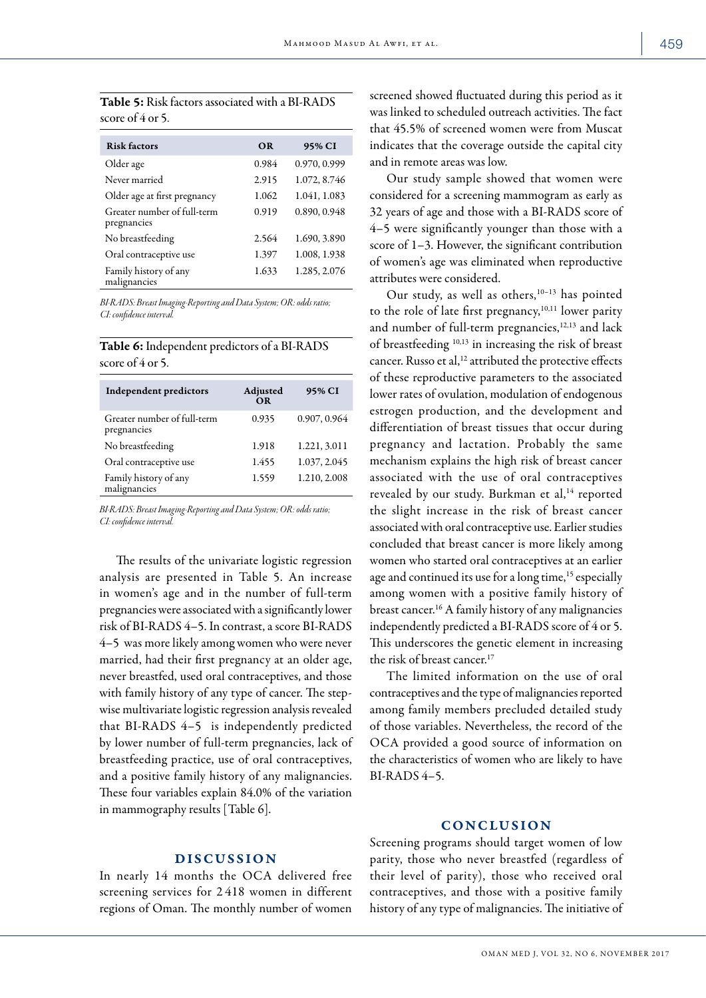| <b>Table 5:</b> Risk factors associated with a BI-RADS |
|--------------------------------------------------------|
| score of $4$ or 5.                                     |

| <b>Risk factors</b>                        | <b>OR</b> | 95% CI       |
|--------------------------------------------|-----------|--------------|
| Older age                                  | 0.984     | 0.970, 0.999 |
| Never married                              | 2.915     | 1.072, 8.746 |
| Older age at first pregnancy               | 1.062     | 1.041, 1.083 |
| Greater number of full-term<br>pregnancies | 0.919     | 0.890, 0.948 |
| No breastfeeding                           | 2.564     | 1.690, 3.890 |
| Oral contraceptive use                     | 1.397     | 1.008, 1.938 |
| Family history of any<br>malignancies      | 1.633     | 1.285, 2.076 |

*BI-RADS: Breast Imaging-Reporting and Data System; OR: odds ratio; CI: confidence interval.*

| <b>Table 6:</b> Independent predictors of a BI-RADS |  |
|-----------------------------------------------------|--|
| score of 4 or 5.                                    |  |

| <b>Independent predictors</b>              | Adjusted<br><b>OR</b> | 95% CI       |
|--------------------------------------------|-----------------------|--------------|
| Greater number of full-term<br>pregnancies | 0.935                 | 0.907, 0.964 |
| No breastfeeding                           | 1.918                 | 1.221, 3.011 |
| Oral contraceptive use                     | 1.455                 | 1.037, 2.045 |
| Family history of any<br>malignancies      | 1.559                 | 1.210, 2.008 |
|                                            |                       |              |

*BI-RADS: Breast Imaging-Reporting and Data System; OR: odds ratio; CI: confidence interval.*

The results of the univariate logistic regression analysis are presented in Table 5. An increase in women's age and in the number of full-term pregnancies were associated with a significantly lower risk of BI-RADS 4–5. In contrast, a score BI-RADS 4–5 was more likely among women who were never married, had their first pregnancy at an older age, never breastfed, used oral contraceptives, and those with family history of any type of cancer. The stepwise multivariate logistic regression analysis revealed that BI-RADS 4–5 is independently predicted by lower number of full-term pregnancies, lack of breastfeeding practice, use of oral contraceptives, and a positive family history of any malignancies. These four variables explain 84.0% of the variation in mammography results [Table 6].

## DISCUSSION

In nearly 14 months the OCA delivered free screening services for 2 418 women in different regions of Oman. The monthly number of women

screened showed fluctuated during this period as it was linked to scheduled outreach activities. The fact that 45.5% of screened women were from Muscat indicates that the coverage outside the capital city and in remote areas was low.

Our study sample showed that women were considered for a screening mammogram as early as 32 years of age and those with a BI-RADS score of 4–5 were significantly younger than those with a score of 1–3. However, the significant contribution of women's age was eliminated when reproductive attributes were considered.

Our study, as well as others, $10-13$  has pointed to the role of late first pregnancy,<sup>10,11</sup> lower parity and number of full-term pregnancies,<sup>12,13</sup> and lack of breastfeeding 10,13 in increasing the risk of breast cancer. Russo et al,<sup>12</sup> attributed the protective effects of these reproductive parameters to the associated lower rates of ovulation, modulation of endogenous estrogen production, and the development and differentiation of breast tissues that occur during pregnancy and lactation. Probably the same mechanism explains the high risk of breast cancer associated with the use of oral contraceptives revealed by our study. Burkman et al,<sup>14</sup> reported the slight increase in the risk of breast cancer associated with oral contraceptive use. Earlier studies concluded that breast cancer is more likely among women who started oral contraceptives at an earlier age and continued its use for a long time,<sup>15</sup> especially among women with a positive family history of breast cancer.16 A family history of any malignancies independently predicted a BI-RADS score of 4 or 5. This underscores the genetic element in increasing the risk of breast cancer<sup>17</sup>

The limited information on the use of oral contraceptives and the type of malignancies reported among family members precluded detailed study of those variables. Nevertheless, the record of the OCA provided a good source of information on the characteristics of women who are likely to have BI-RADS 4–5.

# CONCLUSION

Screening programs should target women of low parity, those who never breastfed (regardless of their level of parity), those who received oral contraceptives, and those with a positive family history of any type of malignancies. The initiative of